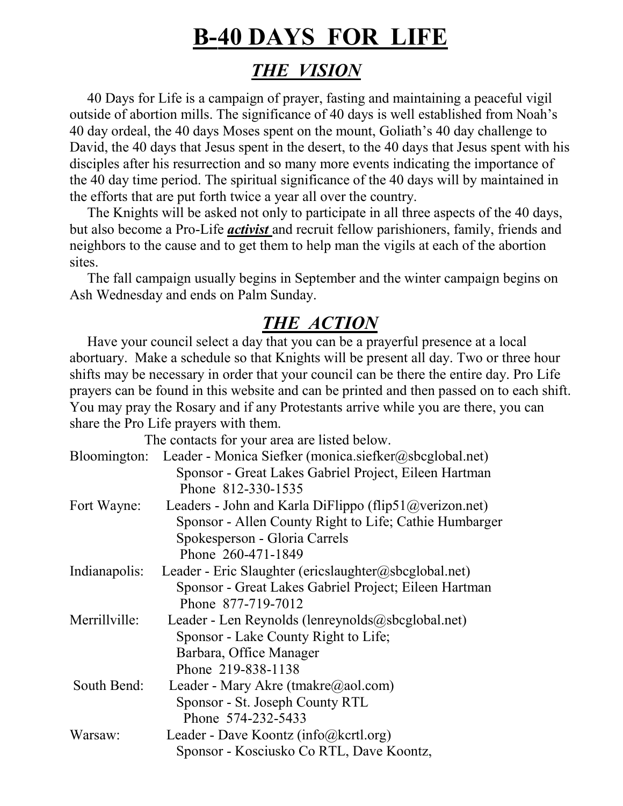## **B-40 DAYS FOR LIFE**

## *THE VISION*

 40 Days for Life is a campaign of prayer, fasting and maintaining a peaceful vigil outside of abortion mills. The significance of 40 days is well established from Noah's 40 day ordeal, the 40 days Moses spent on the mount, Goliath's 40 day challenge to David, the 40 days that Jesus spent in the desert, to the 40 days that Jesus spent with his disciples after his resurrection and so many more events indicating the importance of the 40 day time period. The spiritual significance of the 40 days will by maintained in the efforts that are put forth twice a year all over the country.

 The Knights will be asked not only to participate in all three aspects of the 40 days, but also become a Pro-Life *activist* and recruit fellow parishioners, family, friends and neighbors to the cause and to get them to help man the vigils at each of the abortion sites.

 The fall campaign usually begins in September and the winter campaign begins on Ash Wednesday and ends on Palm Sunday.

## *THE ACTION*

 Have your council select a day that you can be a prayerful presence at a local abortuary. Make a schedule so that Knights will be present all day. Two or three hour shifts may be necessary in order that your council can be there the entire day. Pro Life prayers can be found in this website and can be printed and then passed on to each shift. You may pray the Rosary and if any Protestants arrive while you are there, you can share the Pro Life prayers with them.

The contacts for your area are listed below.

| Bloomington:  | Leader - Monica Siefker (monica.siefker@sbcglobal.net)   |
|---------------|----------------------------------------------------------|
|               | Sponsor - Great Lakes Gabriel Project, Eileen Hartman    |
|               | Phone 812-330-1535                                       |
| Fort Wayne:   | Leaders - John and Karla DiFlippo (flip51@verizon.net)   |
|               | Sponsor - Allen County Right to Life; Cathie Humbarger   |
|               | Spokesperson - Gloria Carrels                            |
|               | Phone 260-471-1849                                       |
| Indianapolis: | Leader - Eric Slaughter (ericslaughter@sbcglobal.net)    |
|               | Sponsor - Great Lakes Gabriel Project; Eileen Hartman    |
|               | Phone 877-719-7012                                       |
| Merrillville: | Leader - Len Reynolds (lenreynolds@sbcglobal.net)        |
|               | Sponsor - Lake County Right to Life;                     |
|               | Barbara, Office Manager                                  |
|               | Phone 219-838-1138                                       |
| South Bend:   | Leader - Mary Akre (tmakre $(\partial \text{a}$ aol.com) |
|               | Sponsor - St. Joseph County RTL                          |
|               | Phone 574-232-5433                                       |
| Warsaw:       | Leader - Dave Koontz (info@kcrtl.org)                    |
|               | Sponsor - Kosciusko Co RTL, Dave Koontz,                 |